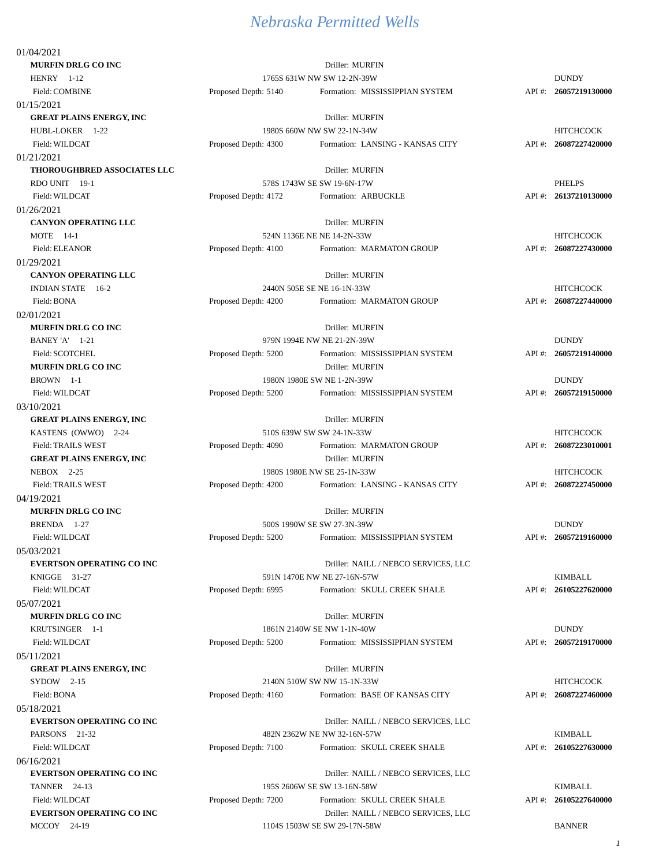| 01/04/2021                       |                            |                                      |          |                       |
|----------------------------------|----------------------------|--------------------------------------|----------|-----------------------|
| MURFIN DRLG CO INC               |                            | Driller: MURFIN                      |          |                       |
| HENRY 1-12                       |                            | 1765S 631W NW SW 12-2N-39W           |          | <b>DUNDY</b>          |
| Field: COMBINE                   | Proposed Depth: 5140       | Formation: MISSISSIPPIAN SYSTEM      |          | API #: 26057219130000 |
| 01/15/2021                       |                            |                                      |          |                       |
| <b>GREAT PLAINS ENERGY, INC</b>  |                            | Driller: MURFIN                      |          |                       |
| HUBL-LOKER 1-22                  | 1980S 660W NW SW 22-1N-34W |                                      |          | <b>HITCHCOCK</b>      |
| Field: WILDCAT                   | Proposed Depth: 4300       | Formation: LANSING - KANSAS CITY     |          | API #: 26087227420000 |
| 01/21/2021                       |                            |                                      |          |                       |
| THOROUGHBRED ASSOCIATES LLC      |                            | Driller: MURFIN                      |          |                       |
| RDO UNIT 19-1                    |                            | 578S 1743W SE SW 19-6N-17W           |          | <b>PHELPS</b>         |
| Field: WILDCAT                   | Proposed Depth: 4172       | Formation: ARBUCKLE                  |          | API#: 26137210130000  |
| 01/26/2021                       |                            |                                      |          |                       |
| <b>CANYON OPERATING LLC</b>      |                            | Driller: MURFIN                      |          |                       |
| <b>MOTE</b> 14-1                 |                            | 524N 1136E NE NE 14-2N-33W           |          | <b>HITCHCOCK</b>      |
| Field: ELEANOR                   | Proposed Depth: 4100       | Formation: MARMATON GROUP            |          | API #: 26087227430000 |
| 01/29/2021                       |                            |                                      |          |                       |
| <b>CANYON OPERATING LLC</b>      |                            | Driller: MURFIN                      |          |                       |
| INDIAN STATE 16-2                |                            | 2440N 505E SE NE 16-1N-33W           |          | <b>HITCHCOCK</b>      |
| Field: BONA                      | Proposed Depth: 4200       | Formation: MARMATON GROUP            |          | API #: 26087227440000 |
| 02/01/2021                       |                            |                                      |          |                       |
| <b>MURFIN DRLG CO INC</b>        |                            | Driller: MURFIN                      |          |                       |
| BANEY 'A' 1-21                   |                            | 979N 1994E NW NE 21-2N-39W           |          | <b>DUNDY</b>          |
| Field: SCOTCHEL                  | Proposed Depth: 5200       | Formation: MISSISSIPPIAN SYSTEM      |          | API #: 26057219140000 |
| MURFIN DRLG CO INC               |                            | Driller: MURFIN                      |          |                       |
| BROWN 1-1                        |                            | 1980N 1980E SW NE 1-2N-39W           |          | <b>DUNDY</b>          |
| Field: WILDCAT                   | Proposed Depth: 5200       | Formation: MISSISSIPPIAN SYSTEM      |          | API #: 26057219150000 |
| 03/10/2021                       |                            |                                      |          |                       |
| <b>GREAT PLAINS ENERGY, INC</b>  |                            | Driller: MURFIN                      |          |                       |
| KASTENS (OWWO) 2-24              |                            | 510S 639W SW SW 24-1N-33W            |          | <b>HITCHCOCK</b>      |
| <b>Field: TRAILS WEST</b>        | Proposed Depth: 4090       | Formation: MARMATON GROUP            |          | API #: 26087223010001 |
| <b>GREAT PLAINS ENERGY, INC</b>  |                            | Driller: MURFIN                      |          |                       |
| NEBOX 2-25                       |                            | 1980S 1980E NW SE 25-1N-33W          |          | <b>HITCHCOCK</b>      |
| <b>Field: TRAILS WEST</b>        | Proposed Depth: 4200       | Formation: LANSING - KANSAS CITY     |          | API #: 26087227450000 |
| 04/19/2021                       |                            |                                      |          |                       |
| <b>MURFIN DRLG CO INC</b>        |                            | Driller: MURFIN                      |          |                       |
| BRENDA 1-27                      |                            | 500S 1990W SE SW 27-3N-39W           |          | <b>DUNDY</b>          |
| Field: WILDCAT                   | Proposed Depth: 5200       | Formation: MISSISSIPPIAN SYSTEM      |          | API #: 26057219160000 |
| 05/03/2021                       |                            |                                      |          |                       |
| <b>EVERTSON OPERATING CO INC</b> |                            | Driller: NAILL / NEBCO SERVICES, LLC |          |                       |
| KNIGGE 31-27                     |                            | 591N 1470E NW NE 27-16N-57W          |          | <b>KIMBALL</b>        |
| Field: WILDCAT                   | Proposed Depth: 6995       | Formation: SKULL CREEK SHALE         |          | API #: 26105227620000 |
| 05/07/2021                       |                            |                                      |          |                       |
| <b>MURFIN DRLG CO INC</b>        |                            | Driller: MURFIN                      |          |                       |
| KRUTSINGER 1-1                   |                            | 1861N 2140W SE NW 1-1N-40W           |          | <b>DUNDY</b>          |
| Field: WILDCAT                   | Proposed Depth: 5200       | Formation: MISSISSIPPIAN SYSTEM      |          | API #: 26057219170000 |
| 05/11/2021                       |                            |                                      |          |                       |
| <b>GREAT PLAINS ENERGY, INC</b>  |                            | Driller: MURFIN                      |          |                       |
| SYDOW 2-15                       |                            | 2140N 510W SW NW 15-1N-33W           |          | <b>HITCHCOCK</b>      |
| Field: BONA                      | Proposed Depth: 4160       | Formation: BASE OF KANSAS CITY       | $API#$ : | 26087227460000        |
| 05/18/2021                       |                            |                                      |          |                       |
| <b>EVERTSON OPERATING CO INC</b> |                            | Driller: NAILL / NEBCO SERVICES, LLC |          |                       |
| PARSONS 21-32                    |                            | 482N 2362W NE NW 32-16N-57W          |          | <b>KIMBALL</b>        |
| Field: WILDCAT                   | Proposed Depth: 7100       | Formation: SKULL CREEK SHALE         |          | API #: 26105227630000 |
| 06/16/2021                       |                            |                                      |          |                       |
| <b>EVERTSON OPERATING CO INC</b> |                            | Driller: NAILL / NEBCO SERVICES, LLC |          |                       |
| TANNER 24-13                     |                            | 195S 2606W SE SW 13-16N-58W          |          | <b>KIMBALL</b>        |
| Field: WILDCAT                   | Proposed Depth: 7200       | Formation: SKULL CREEK SHALE         | $API$ #: | 26105227640000        |
| <b>EVERTSON OPERATING CO INC</b> |                            | Driller: NAILL / NEBCO SERVICES, LLC |          |                       |
| MCCOY 24-19                      |                            | 1104S 1503W SE SW 29-17N-58W         |          | <b>BANNER</b>         |
|                                  |                            |                                      |          |                       |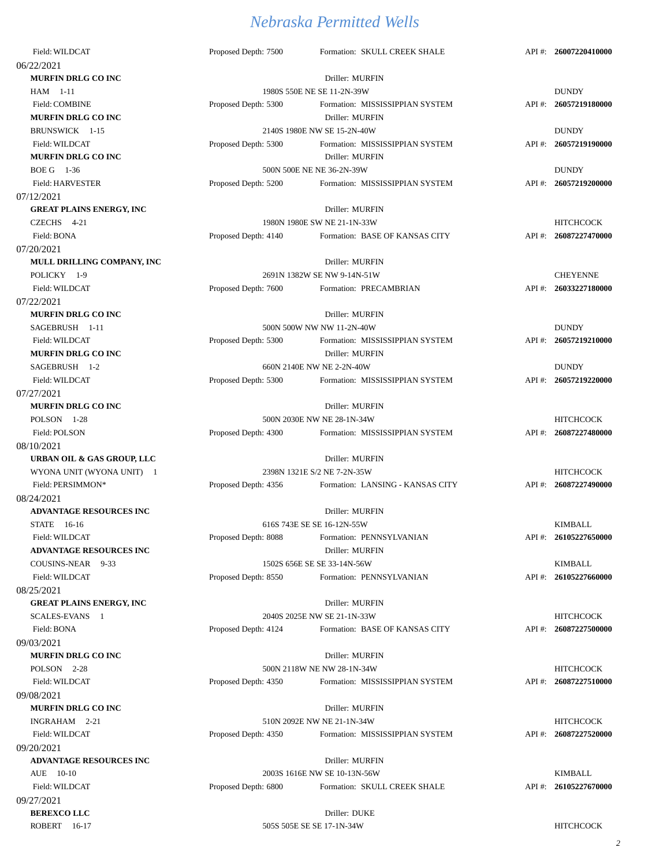| Field: WILDCAT                          | Proposed Depth: 7500        | Formation: SKULL CREEK SHALE     |          | API#: 26007220410000  |
|-----------------------------------------|-----------------------------|----------------------------------|----------|-----------------------|
| 06/22/2021                              |                             |                                  |          |                       |
| <b>MURFIN DRLG CO INC</b>               |                             | Driller: MURFIN                  |          |                       |
| HAM 1-11                                |                             | 1980S 550E NE SE 11-2N-39W       |          | <b>DUNDY</b>          |
| Field: COMBINE                          | Proposed Depth: 5300        | Formation: MISSISSIPPIAN SYSTEM  |          | API #: 26057219180000 |
| <b>MURFIN DRLG CO INC</b>               |                             | Driller: MURFIN                  |          |                       |
| BRUNSWICK 1-15                          | 2140S 1980E NW SE 15-2N-40W |                                  |          | <b>DUNDY</b>          |
| Field: WILDCAT                          | Proposed Depth: 5300        | Formation: MISSISSIPPIAN SYSTEM  |          | API #: 26057219190000 |
| <b>MURFIN DRLG CO INC</b>               |                             | Driller: MURFIN                  |          |                       |
| BOE G 1-36                              |                             | 500N 500E NE NE 36-2N-39W        |          | <b>DUNDY</b>          |
| Field: HARVESTER                        | Proposed Depth: 5200        | Formation: MISSISSIPPIAN SYSTEM  |          | API #: 26057219200000 |
| 07/12/2021                              |                             |                                  |          |                       |
| <b>GREAT PLAINS ENERGY, INC</b>         |                             | Driller: MURFIN                  |          |                       |
| CZECHS 4-21                             |                             | 1980N 1980E SW NE 21-1N-33W      |          | <b>HITCHCOCK</b>      |
| Field: BONA                             | Proposed Depth: 4140        | Formation: BASE OF KANSAS CITY   |          | API #: 26087227470000 |
| 07/20/2021                              |                             |                                  |          |                       |
| MULL DRILLING COMPANY, INC              |                             | Driller: MURFIN                  |          |                       |
| POLICKY 1-9                             |                             | 2691N 1382W SE NW 9-14N-51W      |          | <b>CHEYENNE</b>       |
| Field: WILDCAT                          | Proposed Depth: 7600        | Formation: PRECAMBRIAN           |          | API #: 26033227180000 |
| 07/22/2021                              |                             |                                  |          |                       |
| <b>MURFIN DRLG CO INC</b>               |                             | Driller: MURFIN                  |          |                       |
| SAGEBRUSH 1-11                          |                             | 500N 500W NW NW 11-2N-40W        |          | <b>DUNDY</b>          |
| Field: WILDCAT                          | Proposed Depth: 5300        | Formation: MISSISSIPPIAN SYSTEM  | $API$ #: | 26057219210000        |
| <b>MURFIN DRLG CO INC</b>               |                             | Driller: MURFIN                  |          |                       |
| SAGEBRUSH 1-2                           |                             | 660N 2140E NW NE 2-2N-40W        |          | <b>DUNDY</b>          |
| Field: WILDCAT                          | Proposed Depth: 5300        | Formation: MISSISSIPPIAN SYSTEM  | $API#$ : | 26057219220000        |
|                                         |                             |                                  |          |                       |
| 07/27/2021<br><b>MURFIN DRLG CO INC</b> |                             |                                  |          |                       |
|                                         |                             | Driller: MURFIN                  |          | <b>HITCHCOCK</b>      |
| POLSON 1-28                             |                             | 500N 2030E NW NE 28-1N-34W       |          |                       |
| Field: POLSON                           | Proposed Depth: 4300        | Formation: MISSISSIPPIAN SYSTEM  |          | API #: 26087227480000 |
| 08/10/2021                              |                             |                                  |          |                       |
| URBAN OIL & GAS GROUP, LLC              |                             | Driller: MURFIN                  |          |                       |
| WYONA UNIT (WYONA UNIT) 1               |                             | 2398N 1321E S/2 NE 7-2N-35W      |          | <b>HITCHCOCK</b>      |
| Field: PERSIMMON*                       | Proposed Depth: 4356        | Formation: LANSING - KANSAS CITY |          | API #: 26087227490000 |
| 08/24/2021                              |                             |                                  |          |                       |
| ADVANTAGE RESOURCES INC                 |                             | Driller: MURFIN                  |          |                       |
| STATE 16-16                             |                             | 616S 743E SE SE 16-12N-55W       |          | <b>KIMBALL</b>        |
| Field: WILDCAT                          | Proposed Depth: 8088        | Formation: PENNSYLVANIAN         |          | API #: 26105227650000 |
| ADVANTAGE RESOURCES INC                 |                             | Driller: MURFIN                  |          |                       |
| COUSINS-NEAR 9-33                       |                             | 1502S 656E SE SE 33-14N-56W      |          | <b>KIMBALL</b>        |
| Field: WILDCAT                          | Proposed Depth: 8550        | Formation: PENNSYLVANIAN         |          | API #: 26105227660000 |
| 08/25/2021                              |                             |                                  |          |                       |
| <b>GREAT PLAINS ENERGY, INC</b>         |                             | Driller: MURFIN                  |          |                       |
| SCALES-EVANS 1                          |                             | 2040S 2025E NW SE 21-1N-33W      |          | <b>HITCHCOCK</b>      |
| Field: BONA                             | Proposed Depth: 4124        | Formation: BASE OF KANSAS CITY   |          | API #: 26087227500000 |
| 09/03/2021                              |                             |                                  |          |                       |
| <b>MURFIN DRLG CO INC</b>               |                             | Driller: MURFIN                  |          |                       |
| POLSON 2-28                             |                             | 500N 2118W NE NW 28-1N-34W       |          | <b>HITCHCOCK</b>      |
| Field: WILDCAT                          | Proposed Depth: 4350        | Formation: MISSISSIPPIAN SYSTEM  |          | API #: 26087227510000 |
| 09/08/2021                              |                             |                                  |          |                       |
| <b>MURFIN DRLG CO INC</b>               |                             | Driller: MURFIN                  |          |                       |
| INGRAHAM 2-21                           |                             | 510N 2092E NW NE 21-1N-34W       |          | <b>HITCHCOCK</b>      |
| Field: WILDCAT                          | Proposed Depth: 4350        | Formation: MISSISSIPPIAN SYSTEM  |          | API #: 26087227520000 |
| 09/20/2021                              |                             |                                  |          |                       |
| ADVANTAGE RESOURCES INC                 |                             | Driller: MURFIN                  |          |                       |
| AUE 10-10                               |                             | 2003S 1616E NW SE 10-13N-56W     |          | <b>KIMBALL</b>        |
| Field: WILDCAT                          | Proposed Depth: 6800        | Formation: SKULL CREEK SHALE     |          | API #: 26105227670000 |
| 09/27/2021                              |                             |                                  |          |                       |
| <b>BEREXCOLLC</b>                       |                             | Driller: DUKE                    |          |                       |

ROBERT 16-17 505S 505E SE SE 17-1N-34W HITCHCOCK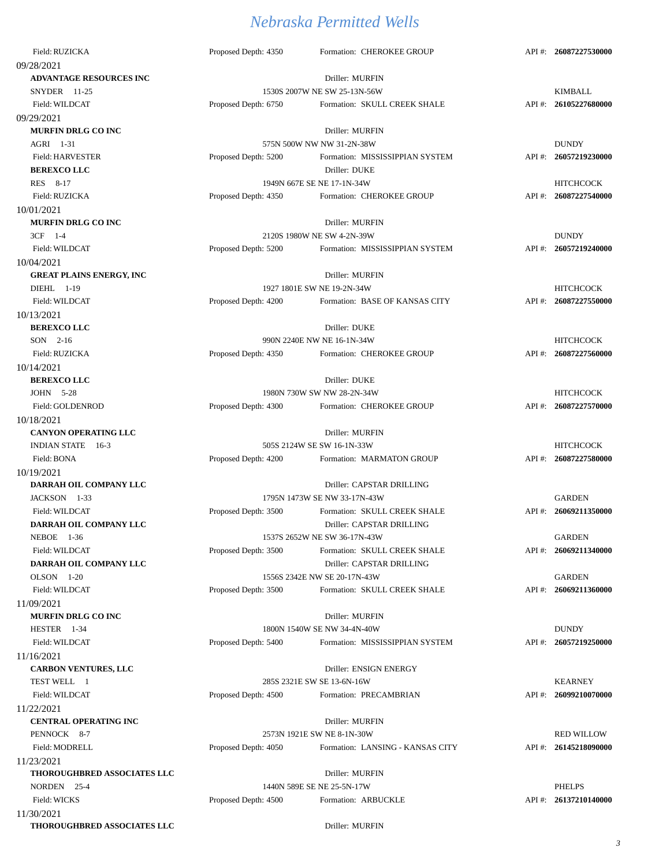| Field: RUZICKA                  | Proposed Depth: 4350 | Formation: CHEROKEE GROUP        |          | API #: 26087227530000 |
|---------------------------------|----------------------|----------------------------------|----------|-----------------------|
| 09/28/2021                      |                      |                                  |          |                       |
| <b>ADVANTAGE RESOURCES INC</b>  |                      | Driller: MURFIN                  |          |                       |
| SNYDER 11-25                    |                      | 1530S 2007W NE SW 25-13N-56W     |          | <b>KIMBALL</b>        |
| Field: WILDCAT                  | Proposed Depth: 6750 | Formation: SKULL CREEK SHALE     |          | API #: 26105227680000 |
| 09/29/2021                      |                      |                                  |          |                       |
| <b>MURFIN DRLG CO INC</b>       |                      | Driller: MURFIN                  |          |                       |
| AGRI 1-31                       |                      | 575N 500W NW NW 31-2N-38W        |          | <b>DUNDY</b>          |
| Field: HARVESTER                | Proposed Depth: 5200 | Formation: MISSISSIPPIAN SYSTEM  | $API#$ : | 26057219230000        |
| <b>BEREXCOLLC</b>               |                      | Driller: DUKE                    |          |                       |
| RES 8-17                        |                      | 1949N 667E SE NE 17-1N-34W       |          | <b>HITCHCOCK</b>      |
| Field: RUZICKA                  | Proposed Depth: 4350 | Formation: CHEROKEE GROUP        | $API$ #: | 26087227540000        |
| 10/01/2021                      |                      |                                  |          |                       |
| <b>MURFIN DRLG CO INC</b>       |                      | Driller: MURFIN                  |          |                       |
| 3CF 1-4                         |                      | 2120S 1980W NE SW 4-2N-39W       |          | <b>DUNDY</b>          |
|                                 |                      |                                  |          |                       |
| Field: WILDCAT                  | Proposed Depth: 5200 | Formation: MISSISSIPPIAN SYSTEM  | $API#$ : | 26057219240000        |
| 10/04/2021                      |                      |                                  |          |                       |
| <b>GREAT PLAINS ENERGY, INC</b> |                      | Driller: MURFIN                  |          |                       |
| DIEHL 1-19                      |                      | 1927 1801E SW NE 19-2N-34W       |          | <b>HITCHCOCK</b>      |
| Field: WILDCAT                  | Proposed Depth: 4200 | Formation: BASE OF KANSAS CITY   |          | API #: 26087227550000 |
| 10/13/2021                      |                      |                                  |          |                       |
| <b>BEREXCOLLC</b>               |                      | Driller: DUKE                    |          |                       |
| SON 2-16                        |                      | 990N 2240E NW NE 16-1N-34W       |          | <b>HITCHCOCK</b>      |
| Field: RUZICKA                  | Proposed Depth: 4350 | Formation: CHEROKEE GROUP        | $API#$ : | 26087227560000        |
| 10/14/2021                      |                      |                                  |          |                       |
| <b>BEREXCOLLC</b>               |                      | Driller: DUKE                    |          |                       |
| JOHN 5-28                       |                      | 1980N 730W SW NW 28-2N-34W       |          | <b>HITCHCOCK</b>      |
| Field: GOLDENROD                | Proposed Depth: 4300 | Formation: CHEROKEE GROUP        |          | API #: 26087227570000 |
| 10/18/2021                      |                      |                                  |          |                       |
| <b>CANYON OPERATING LLC</b>     |                      | Driller: MURFIN                  |          |                       |
| <b>INDIAN STATE</b><br>16-3     |                      | 505S 2124W SE SW 16-1N-33W       |          | <b>HITCHCOCK</b>      |
| Field: BONA                     | Proposed Depth: 4200 | Formation: MARMATON GROUP        |          | API #: 26087227580000 |
| 10/19/2021                      |                      |                                  |          |                       |
| DARRAH OIL COMPANY LLC          |                      | Driller: CAPSTAR DRILLING        |          |                       |
| JACKSON 1-33                    |                      | 1795N 1473W SE NW 33-17N-43W     |          | <b>GARDEN</b>         |
| Field: WILDCAT                  | Proposed Depth: 3500 | Formation: SKULL CREEK SHALE     | $API#$ : | 26069211350000        |
| DARRAH OIL COMPANY LLC          |                      | Driller: CAPSTAR DRILLING        |          |                       |
| NEBOE 1-36                      |                      | 1537S 2652W NE SW 36-17N-43W     |          | <b>GARDEN</b>         |
| Field: WILDCAT                  |                      |                                  |          | 26069211340000        |
|                                 | Proposed Depth: 3500 | Formation: SKULL CREEK SHALE     | API#:    |                       |
| DARRAH OIL COMPANY LLC          |                      | Driller: CAPSTAR DRILLING        |          |                       |
| OLSON 1-20                      |                      | 1556S 2342E NW SE 20-17N-43W     |          | <b>GARDEN</b>         |
| Field: WILDCAT                  | Proposed Depth: 3500 | Formation: SKULL CREEK SHALE     | $API#$ : | 26069211360000        |
| 11/09/2021                      |                      |                                  |          |                       |
| <b>MURFIN DRLG CO INC</b>       |                      | Driller: MURFIN                  |          |                       |
| HESTER 1-34                     |                      | 1800N 1540W SE NW 34-4N-40W      |          | <b>DUNDY</b>          |
| Field: WILDCAT                  | Proposed Depth: 5400 | Formation: MISSISSIPPIAN SYSTEM  | $API#$ : | 26057219250000        |
| 11/16/2021                      |                      |                                  |          |                       |
| <b>CARBON VENTURES, LLC</b>     |                      | Driller: ENSIGN ENERGY           |          |                       |
| TEST WELL 1                     |                      | 285S 2321E SW SE 13-6N-16W       |          | <b>KEARNEY</b>        |
| Field: WILDCAT                  | Proposed Depth: 4500 | Formation: PRECAMBRIAN           |          | API#: 26099210070000  |
| 11/22/2021                      |                      |                                  |          |                       |
| <b>CENTRAL OPERATING INC</b>    |                      | Driller: MURFIN                  |          |                       |
| PENNOCK 8-7                     |                      | 2573N 1921E SW NE 8-1N-30W       |          | <b>RED WILLOW</b>     |
| Field: MODRELL                  | Proposed Depth: 4050 | Formation: LANSING - KANSAS CITY |          | API #: 26145218090000 |
| 11/23/2021                      |                      |                                  |          |                       |
| THOROUGHBRED ASSOCIATES LLC     |                      | Driller: MURFIN                  |          |                       |
| NORDEN 25-4                     |                      | 1440N 589E SE NE 25-5N-17W       |          | <b>PHELPS</b>         |
| Field: WICKS                    | Proposed Depth: 4500 | Formation: ARBUCKLE              |          | API #: 26137210140000 |
| 11/30/2021                      |                      |                                  |          |                       |
| THOROUGHBRED ASSOCIATES LLC     |                      | Driller: MURFIN                  |          |                       |
|                                 |                      |                                  |          |                       |